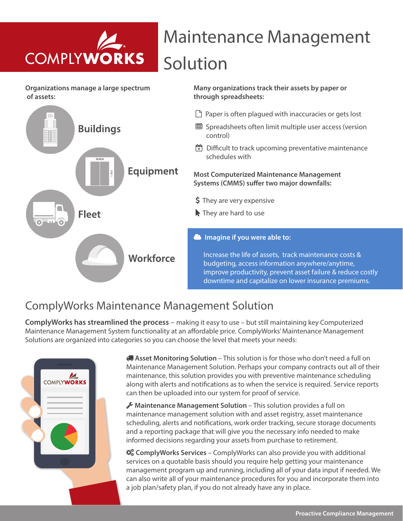

## Maintenance Management Solution

**Many organizations track their assets by paper or** 

**through spreadsheets:** 

**Organizations manage a large spectrum of assets:** 



### ComplyWorks Maintenance Management Solution

**ComplyWorks has streamlined the process** – making it easy to use – but still maintaining key Computerized Maintenance Management System functionality at an affordable price. ComplyWorks' Maintenance Management Solutions are organized into categories so you can choose the level that meets your needs:



 **Asset Monitoring Solution** – This solution is for those who don't need a full on Maintenance Management Solution. Perhaps your company contracts out all of their maintenance, this solution provides you with preventive maintenance scheduling along with alerts and notifications as to when the service is required. Service reports can then be uploaded into our system for proof of service.

 **Maintenance Management Solution** – This solution provides a full on maintenance management solution with and asset registry, asset maintenance scheduling, alerts and notifications, work order tracking, secure storage documents and a reporting package that will give you the necessary info needed to make informed decisions regarding your assets from purchase to retirement.

 $\mathbf{\ddot{x}}_s^*$  ComplyWorks Services – ComplyWorks can also provide you with additional services on a quotable basis should you require help getting your maintenance management program up and running, including all of your data input if needed. We can also write all of your maintenance procedures for you and incorporate them into a job plan/safety plan, if you do not already have any in place.